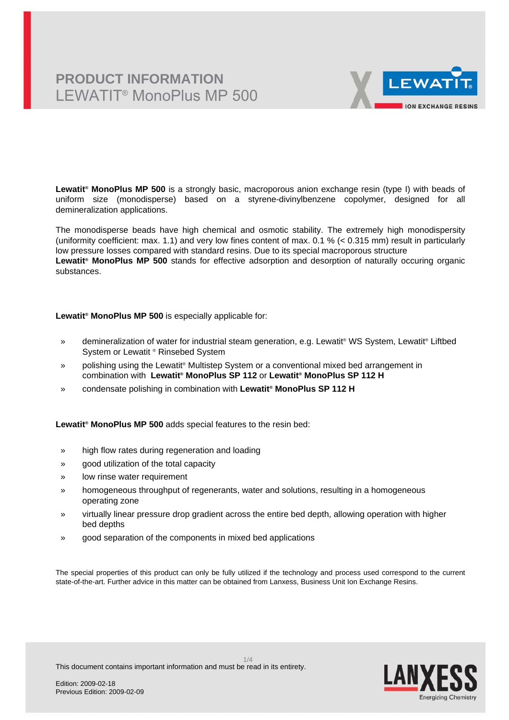# **PRODUCT INFORMATION** LEWATIT® MonoPlus MP 500



**Lewatit® MonoPlus MP 500** is a strongly basic, macroporous anion exchange resin (type I) with beads of uniform size (monodisperse) based on a styrene-divinylbenzene copolymer, designed for all demineralization applications.

The monodisperse beads have high chemical and osmotic stability. The extremely high monodispersity (uniformity coefficient: max. 1.1) and very low fines content of max. 0.1 % (< 0.315 mm) result in particularly low pressure losses compared with standard resins. Due to its special macroporous structure **Lewatit® MonoPlus MP 500** stands for effective adsorption and desorption of naturally occuring organic substances.

**Lewatit® MonoPlus MP 500** is especially applicable for:

- » demineralization of water for industrial steam generation, e.g. Lewatit® WS System, Lewatit® Liftbed System or Lewatit ® Rinsebed System
- » polishing using the Lewatit® Multistep System or a conventional mixed bed arrangement in combination with **Lewatit® MonoPlus SP 112** or **Lewatit® MonoPlus SP 112 H**
- » condensate polishing in combination with **Lewatit® MonoPlus SP 112 H**

**Lewatit® MonoPlus MP 500** adds special features to the resin bed:

- » high flow rates during regeneration and loading
- » good utilization of the total capacity
- » low rinse water requirement
- » homogeneous throughput of regenerants, water and solutions, resulting in a homogeneous operating zone
- » virtually linear pressure drop gradient across the entire bed depth, allowing operation with higher bed depths
- » good separation of the components in mixed bed applications

The special properties of this product can only be fully utilized if the technology and process used correspond to the current state-of-the-art. Further advice in this matter can be obtained from Lanxess, Business Unit Ion Exchange Resins.

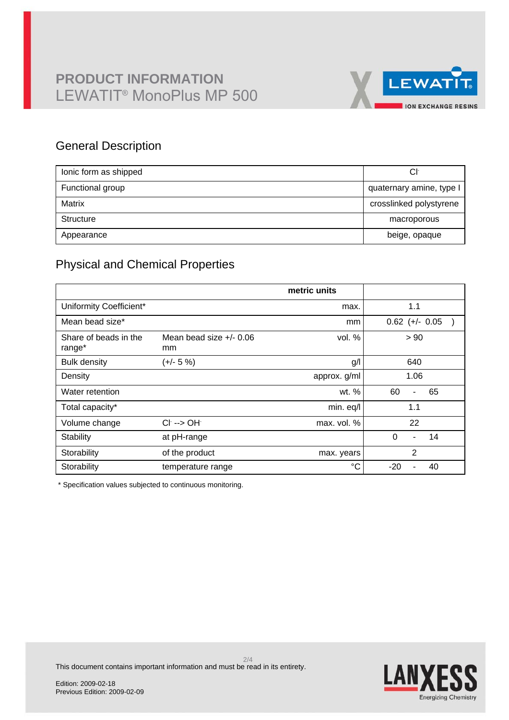

## General Description

| lonic form as shipped | Сŀ                       |
|-----------------------|--------------------------|
| Functional group      | quaternary amine, type I |
| Matrix                | crosslinked polystyrene  |
| Structure             | macroporous              |
| Appearance            | beige, opaque            |

# Physical and Chemical Properties

|                                 |                                 | metric units |                                  |
|---------------------------------|---------------------------------|--------------|----------------------------------|
| Uniformity Coefficient*         |                                 | max.         | 1.1                              |
| Mean bead size*                 |                                 | mm           | $0.62$ (+/- $0.05$               |
| Share of beads in the<br>range* | Mean bead size $+/- 0.06$<br>mm | vol. $%$     | > 90                             |
| <b>Bulk density</b>             | $(+/- 5%)$                      | g/           | 640                              |
| Density                         |                                 | approx. g/ml | 1.06                             |
| Water retention                 |                                 | wt. %        | 60<br>65<br>$\blacksquare$       |
| Total capacity*                 |                                 | min. eq/l    | 1.1                              |
| Volume change                   | $Cl^- \rightarrow OH^-$         | max. vol. %  | 22                               |
| Stability                       | at pH-range                     |              | $\Omega$<br>14<br>$\blacksquare$ |
| Storability                     | of the product                  | max. years   | $\overline{2}$                   |
| Storability                     | temperature range               | °C           | $-20$<br>40                      |

\* Specification values subjected to continuous monitoring.

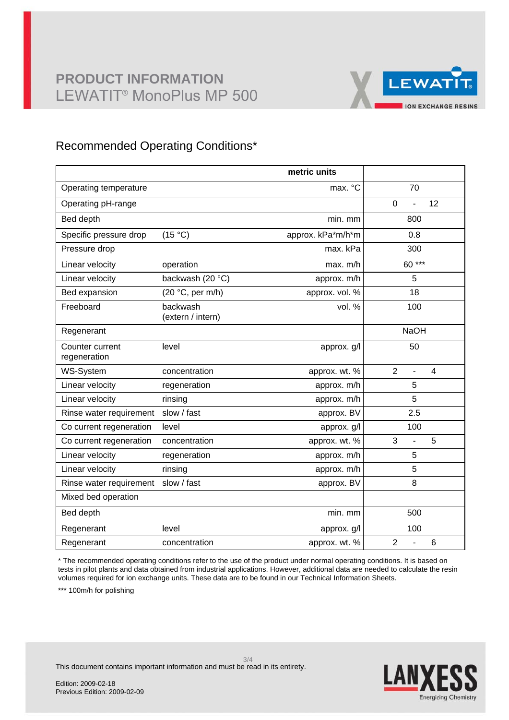# **PRODUCT INFORMATION** LEWATIT® MonoPlus MP 500



## Recommended Operating Conditions\*

|                                 |                               | metric units      |                                                    |
|---------------------------------|-------------------------------|-------------------|----------------------------------------------------|
| Operating temperature           |                               | max. °C           | 70                                                 |
| Operating pH-range              |                               |                   | 12<br>$\mathbf 0$                                  |
| Bed depth                       |                               | min. mm           | 800                                                |
| Specific pressure drop          | (15 °C)                       | approx. kPa*m/h*m | 0.8                                                |
| Pressure drop                   |                               | max. kPa          | 300                                                |
| Linear velocity                 | operation                     | max. m/h          | 60***                                              |
| Linear velocity                 | backwash (20 °C)              | approx. m/h       | 5                                                  |
| Bed expansion                   | (20 °C, per m/h)              | approx. vol. %    | 18                                                 |
| Freeboard                       | backwash<br>(extern / intern) | vol. %            | 100                                                |
| Regenerant                      |                               |                   | <b>NaOH</b>                                        |
| Counter current<br>regeneration | level                         | approx. g/l       | 50                                                 |
| WS-System                       | concentration                 | approx. wt. %     | $\overline{2}$<br>$\overline{4}$<br>$\overline{a}$ |
| Linear velocity                 | regeneration                  | approx. m/h       | 5                                                  |
| Linear velocity                 | rinsing                       | approx. m/h       | 5                                                  |
| Rinse water requirement         | slow / fast                   | approx. BV        | 2.5                                                |
| Co current regeneration         | level                         | approx. g/l       | 100                                                |
| Co current regeneration         | concentration                 | approx. wt. %     | 3<br>5<br>÷,                                       |
| Linear velocity                 | regeneration                  | approx. m/h       | 5                                                  |
| Linear velocity                 | rinsing                       | approx. m/h       | 5                                                  |
| Rinse water requirement         | slow / fast                   | approx. BV        | 8                                                  |
| Mixed bed operation             |                               |                   |                                                    |
| Bed depth                       |                               | min. mm           | 500                                                |
| Regenerant                      | level                         | approx. g/l       | 100                                                |
| Regenerant                      | concentration                 | approx. wt. %     | $\overline{2}$<br>$6\phantom{1}$<br>L,             |

\* The recommended operating conditions refer to the use of the product under normal operating conditions. It is based on tests in pilot plants and data obtained from industrial applications. However, additional data are needed to calculate the resin volumes required for ion exchange units. These data are to be found in our Technical Information Sheets.

\*\*\* 100m/h for polishing



This document contains important information and must be read in its entirety.